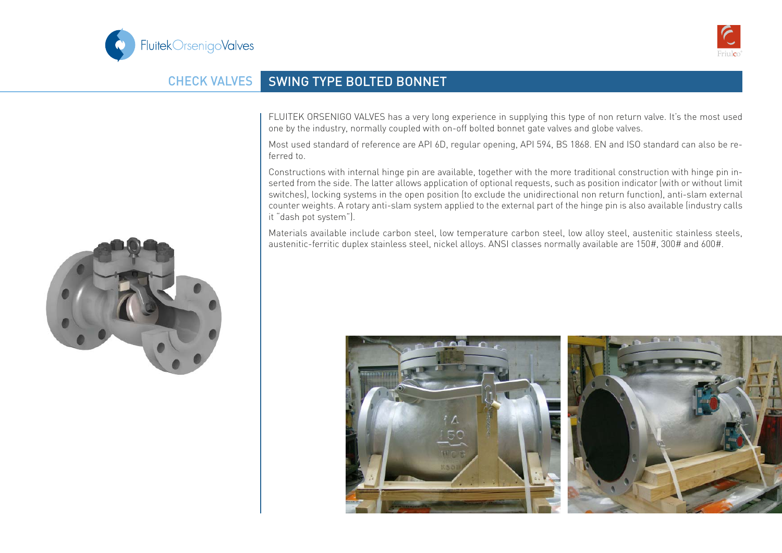



## CHECK VALVES SWING TYPE BOLTED BONNET

FLUITEK ORSENIGO VALVES has a very long experience in supplying this type of non return valve. It's the most used one by the industry, normally coupled with on-off bolted bonnet gate valves and globe valves.

Most used standard of reference are API 6D, regular opening, API 594, BS 1868. EN and ISO standard can also be referred to.

Constructions with internal hinge pin are available, together with the more traditional construction with hinge pin inserted from the side. The latter allows application of optional requests, such as position indicator (with or without limit switches), locking systems in the open position (to exclude the unidirectional non return function), anti-slam external counter weights. A rotary anti-slam system applied to the external part of the hinge pin is also available (industry calls it "dash pot system").

Materials available include carbon steel, low temperature carbon steel, low alloy steel, austenitic stainless steels, austenitic-ferritic duplex stainless steel, nickel alloys. ANSI classes normally available are 150#, 300# and 600#.